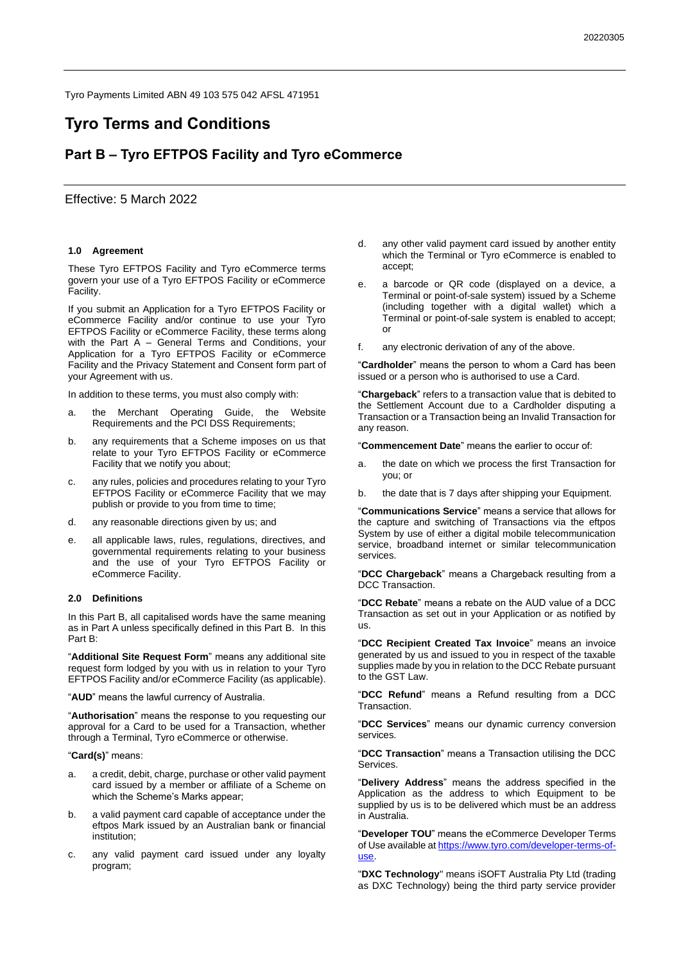Tyro Payments Limited ABN 49 103 575 042 AFSL 471951

# **Tyro Terms and Conditions**

# **Part B – Tyro EFTPOS Facility and Tyro eCommerce**

# Effective: 5 March 2022

#### **1.0 Agreement**

These Tyro EFTPOS Facility and Tyro eCommerce terms govern your use of a Tyro EFTPOS Facility or eCommerce Facility.

If you submit an Application for a Tyro EFTPOS Facility or eCommerce Facility and/or continue to use your Tyro EFTPOS Facility or eCommerce Facility, these terms along with the Part A – General Terms and Conditions, your Application for a Tyro EFTPOS Facility or eCommerce Facility and the Privacy Statement and Consent form part of your Agreement with us.

In addition to these terms, you must also comply with:

- a. the Merchant Operating Guide, the Website Requirements and the PCI DSS Requirements;
- b. any requirements that a Scheme imposes on us that relate to your Tyro EFTPOS Facility or eCommerce Facility that we notify you about;
- c. any rules, policies and procedures relating to your Tyro EFTPOS Facility or eCommerce Facility that we may publish or provide to you from time to time;
- d. any reasonable directions given by us; and
- e. all applicable laws, rules, regulations, directives, and governmental requirements relating to your business and the use of your Tyro EFTPOS Facility or eCommerce Facility.

#### **2.0 Definitions**

In this Part B, all capitalised words have the same meaning as in Part A unless specifically defined in this Part B. In this Part B:

"**Additional Site Request Form**" means any additional site request form lodged by you with us in relation to your Tyro EFTPOS Facility and/or eCommerce Facility (as applicable).

"**AUD**" means the lawful currency of Australia.

"**Authorisation**" means the response to you requesting our approval for a Card to be used for a Transaction, whether through a Terminal, Tyro eCommerce or otherwise.

#### "**Card(s)**" means:

- a. a credit, debit, charge, purchase or other valid payment card issued by a member or affiliate of a Scheme on which the Scheme's Marks appear;
- b. a valid payment card capable of acceptance under the eftpos Mark issued by an Australian bank or financial institution;
- c. any valid payment card issued under any loyalty program;
- d. any other valid payment card issued by another entity which the Terminal or Tyro eCommerce is enabled to accept;
- e. a barcode or QR code (displayed on a device, a Terminal or point-of-sale system) issued by a Scheme (including together with a digital wallet) which a Terminal or point-of-sale system is enabled to accept; or
- f. any electronic derivation of any of the above.

"**Cardholder**" means the person to whom a Card has been issued or a person who is authorised to use a Card.

"**Chargeback**" refers to a transaction value that is debited to the Settlement Account due to a Cardholder disputing a Transaction or a Transaction being an Invalid Transaction for any reason.

"**Commencement Date**" means the earlier to occur of:

- a. the date on which we process the first Transaction for you; or
- b. the date that is 7 days after shipping your Equipment.

"**Communications Service**" means a service that allows for the capture and switching of Transactions via the eftpos System by use of either a digital mobile telecommunication service, broadband internet or similar telecommunication services.

"**DCC Chargeback**" means a Chargeback resulting from a DCC Transaction.

"**DCC Rebate**" means a rebate on the AUD value of a DCC Transaction as set out in your Application or as notified by us.

"**DCC Recipient Created Tax Invoice**" means an invoice generated by us and issued to you in respect of the taxable supplies made by you in relation to the DCC Rebate pursuant to the GST Law.

"**DCC Refund**" means a Refund resulting from a DCC Transaction.

"**DCC Services**" means our dynamic currency conversion services.

"**DCC Transaction**" means a Transaction utilising the DCC Services.

"**Delivery Address**" means the address specified in the Application as the address to which Equipment to be supplied by us is to be delivered which must be an address in Australia.

"**Developer TOU**" means the eCommerce Developer Terms of Use available at [https://www.tyro.com/developer-terms-of](https://www.tyro.com/developer-terms-of-use)[use.](https://www.tyro.com/developer-terms-of-use)

"**DXC Technology**" means iSOFT Australia Pty Ltd (trading as DXC Technology) being the third party service provider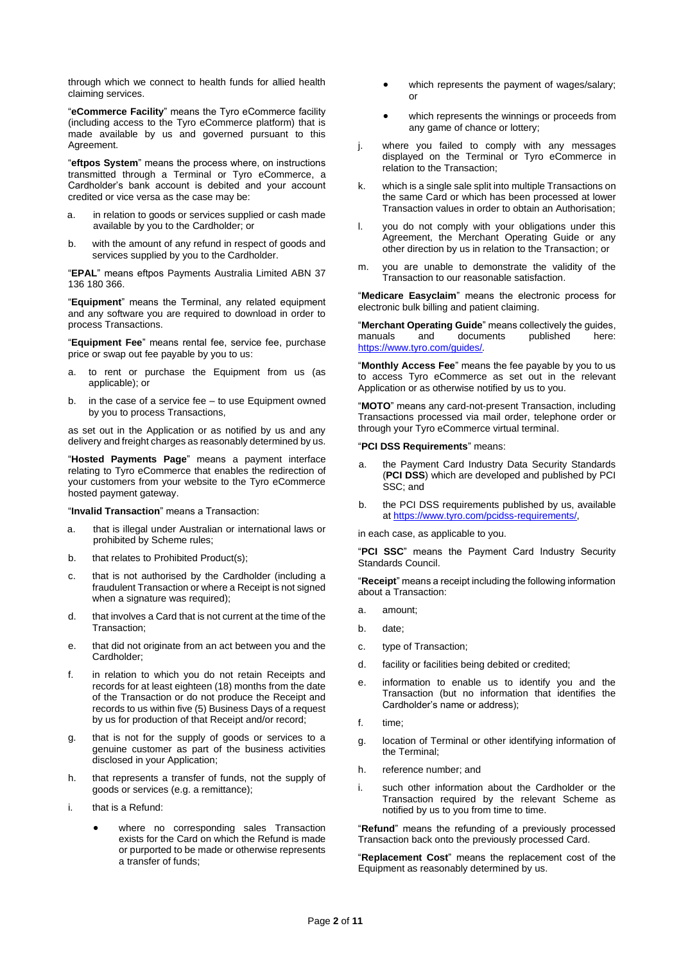through which we connect to health funds for allied health claiming services.

"**eCommerce Facility**" means the Tyro eCommerce facility (including access to the Tyro eCommerce platform) that is made available by us and governed pursuant to this Agreement.

"**eftpos System**" means the process where, on instructions transmitted through a Terminal or Tyro eCommerce, a Cardholder's bank account is debited and your account credited or vice versa as the case may be:

- a. in relation to goods or services supplied or cash made available by you to the Cardholder; or
- b. with the amount of any refund in respect of goods and services supplied by you to the Cardholder.

"**EPAL**" means eftpos Payments Australia Limited ABN 37 136 180 366.

"**Equipment**" means the Terminal, any related equipment and any software you are required to download in order to process Transactions.

"**Equipment Fee**" means rental fee, service fee, purchase price or swap out fee payable by you to us:

- a. to rent or purchase the Equipment from us (as applicable); or
- b. in the case of a service fee to use Equipment owned by you to process Transactions,

as set out in the Application or as notified by us and any delivery and freight charges as reasonably determined by us.

"**Hosted Payments Page**" means a payment interface relating to Tyro eCommerce that enables the redirection of your customers from your website to the Tyro eCommerce hosted payment gateway.

"**Invalid Transaction**" means a Transaction:

- a. that is illegal under Australian or international laws or prohibited by Scheme rules;
- b. that relates to Prohibited Product(s);
- c. that is not authorised by the Cardholder (including a fraudulent Transaction or where a Receipt is not signed when a signature was required);
- d. that involves a Card that is not current at the time of the Transaction;
- e. that did not originate from an act between you and the Cardholder;
- f. in relation to which you do not retain Receipts and records for at least eighteen (18) months from the date of the Transaction or do not produce the Receipt and records to us within five (5) Business Days of a request by us for production of that Receipt and/or record;
- g. that is not for the supply of goods or services to a genuine customer as part of the business activities disclosed in your Application;
- h. that represents a transfer of funds, not the supply of goods or services (e.g. a remittance);
- i. that is a Refund:
	- where no corresponding sales Transaction exists for the Card on which the Refund is made or purported to be made or otherwise represents a transfer of funds;
- which represents the payment of wages/salary; or
- which represents the winnings or proceeds from any game of chance or lottery;
- j. where you failed to comply with any messages displayed on the Terminal or Tyro eCommerce in relation to the Transaction;
- k. which is a single sale split into multiple Transactions on the same Card or which has been processed at lower Transaction values in order to obtain an Authorisation;
- l. you do not comply with your obligations under this Agreement, the Merchant Operating Guide or any other direction by us in relation to the Transaction; or
- m. you are unable to demonstrate the validity of the Transaction to our reasonable satisfaction.

"**Medicare Easyclaim**" means the electronic process for electronic bulk billing and patient claiming.

"**Merchant Operating Guide**" means collectively the guides, manuals and documents published here: <https://www.tyro.com/guides/>*.*

"**Monthly Access Fee**" means the fee payable by you to us to access Tyro eCommerce as set out in the relevant Application or as otherwise notified by us to you.

"**MOTO**" means any card-not-present Transaction, including Transactions processed via mail order, telephone order or through your Tyro eCommerce virtual terminal.

#### "**PCI DSS Requirements**" means:

- a. the Payment Card Industry Data Security Standards (**PCI DSS**) which are developed and published by PCI SSC; and
- b. the PCI DSS requirements published by us, available at [https://www.tyro.com/pcidss-requirements/,](https://www.tyro.com/pcidss-requirements/)

in each case, as applicable to you.

"**PCI SSC**" means the Payment Card Industry Security Standards Council.

"**Receipt**" means a receipt including the following information about a Transaction:

- a. amount;
- b. date;
- c. type of Transaction;
- d. facility or facilities being debited or credited;
- e. information to enable us to identify you and the Transaction (but no information that identifies the Cardholder's name or address);
- f. time;
- g. location of Terminal or other identifying information of the Terminal;
- h. reference number; and
- i. such other information about the Cardholder or the Transaction required by the relevant Scheme as notified by us to you from time to time.

"**Refund**" means the refunding of a previously processed Transaction back onto the previously processed Card.

"**Replacement Cost**" means the replacement cost of the Equipment as reasonably determined by us.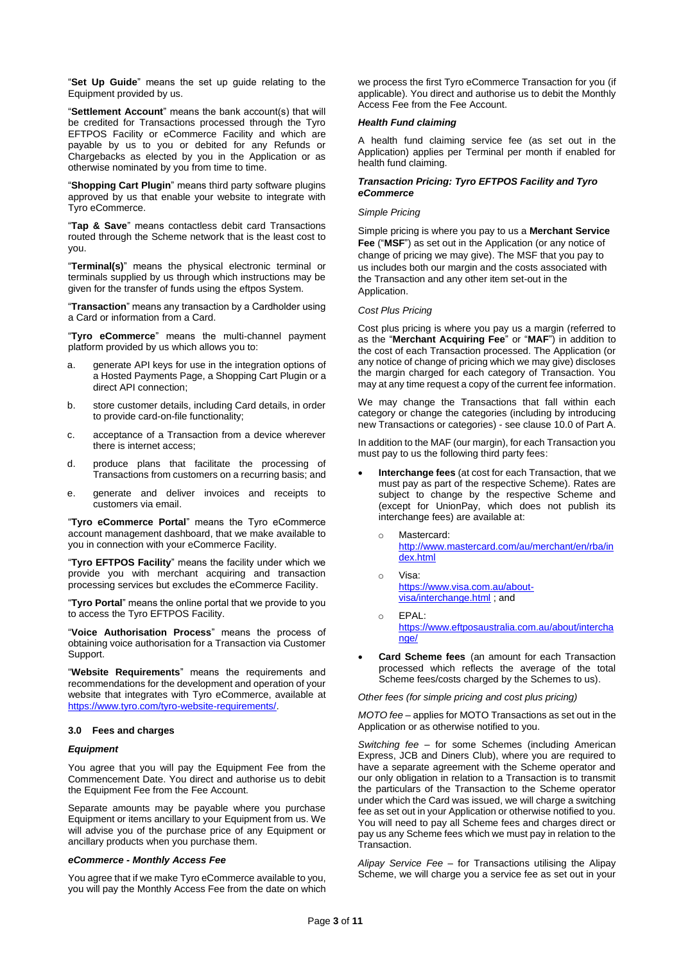"**Set Up Guide**" means the set up guide relating to the Equipment provided by us.

"**Settlement Account**" means the bank account(s) that will be credited for Transactions processed through the Tyro EFTPOS Facility or eCommerce Facility and which are payable by us to you or debited for any Refunds or Chargebacks as elected by you in the Application or as otherwise nominated by you from time to time.

"**Shopping Cart Plugin**" means third party software plugins approved by us that enable your website to integrate with Tyro eCommerce.

"**Tap & Save**" means contactless debit card Transactions routed through the Scheme network that is the least cost to you.

"**Terminal(s)**" means the physical electronic terminal or terminals supplied by us through which instructions may be given for the transfer of funds using the eftpos System.

"**Transaction**" means any transaction by a Cardholder using a Card or information from a Card.

"**Tyro eCommerce**" means the multi-channel payment platform provided by us which allows you to:

- a. generate API keys for use in the integration options of a Hosted Payments Page, a Shopping Cart Plugin or a direct API connection;
- b. store customer details, including Card details, in order to provide card-on-file functionality;
- c. acceptance of a Transaction from a device wherever there is internet access;
- d. produce plans that facilitate the processing of Transactions from customers on a recurring basis; and
- e. generate and deliver invoices and receipts to customers via email.

"**Tyro eCommerce Portal**" means the Tyro eCommerce account management dashboard, that we make available to you in connection with your eCommerce Facility.

"**Tyro EFTPOS Facility**" means the facility under which we provide you with merchant acquiring and transaction processing services but excludes the eCommerce Facility.

"**Tyro Portal**" means the online portal that we provide to you to access the Tyro EFTPOS Facility.

"**Voice Authorisation Process**" means the process of obtaining voice authorisation for a Transaction via Customer Support.

"**Website Requirements**" means the requirements and recommendations for the development and operation of your website that integrates with Tyro eCommerce, available at [https://www.tyro.com/tyro-website-requirements/.](https://www.tyro.com/tyro-website-requirements/)

# **3.0 Fees and charges**

#### *Equipment*

You agree that you will pay the Equipment Fee from the Commencement Date. You direct and authorise us to debit the Equipment Fee from the Fee Account.

Separate amounts may be payable where you purchase Equipment or items ancillary to your Equipment from us. We will advise you of the purchase price of any Equipment or ancillary products when you purchase them.

#### *eCommerce - Monthly Access Fee*

You agree that if we make Tyro eCommerce available to you, you will pay the Monthly Access Fee from the date on which we process the first Tyro eCommerce Transaction for you (if applicable). You direct and authorise us to debit the Monthly Access Fee from the Fee Account.

# *Health Fund claiming*

A health fund claiming service fee (as set out in the Application) applies per Terminal per month if enabled for health fund claiming.

# *Transaction Pricing: Tyro EFTPOS Facility and Tyro eCommerce*

#### *Simple Pricing*

Simple pricing is where you pay to us a **Merchant Service Fee** ("**MSF**") as set out in the Application (or any notice of change of pricing we may give). The MSF that you pay to us includes both our margin and the costs associated with the Transaction and any other item set-out in the Application.

# *Cost Plus Pricing*

Cost plus pricing is where you pay us a margin (referred to as the "**Merchant Acquiring Fee**" or "**MAF**") in addition to the cost of each Transaction processed. The Application (or any notice of change of pricing which we may give) discloses the margin charged for each category of Transaction. You may at any time request a copy of the current fee information.

We may change the Transactions that fall within each category or change the categories (including by introducing new Transactions or categories) - see clause 10.0 of Part A.

In addition to the MAF (our margin), for each Transaction you must pay to us the following third party fees:

- **Interchange fees** (at cost for each Transaction, that we must pay as part of the respective Scheme). Rates are subject to change by the respective Scheme and (except for UnionPay, which does not publish its interchange fees) are available at:
	- o Mastercard: [http://www.mastercard.com/au/merchant/en/rba/in](http://www.mastercard.com/au/merchant/en/rba/index.html) [dex.html](http://www.mastercard.com/au/merchant/en/rba/index.html)
	- o Visa: [https://www.visa.com.au/about](https://www.visa.com.au/about-visa/interchange.html)[visa/interchange.html](https://www.visa.com.au/about-visa/interchange.html) ; and
	- o EPAL: [https://www.eftposaustralia.com.au/about/intercha](https://www.eftposaustralia.com.au/about/interchange/) [nge/](https://www.eftposaustralia.com.au/about/interchange/)
- **Card Scheme fees** (an amount for each Transaction processed which reflects the average of the total Scheme fees/costs charged by the Schemes to us).

*Other fees (for simple pricing and cost plus pricing)*

*MOTO fee* – applies for MOTO Transactions as set out in the Application or as otherwise notified to you.

*Switching fee* – for some Schemes (including American Express, JCB and Diners Club), where you are required to have a separate agreement with the Scheme operator and our only obligation in relation to a Transaction is to transmit the particulars of the Transaction to the Scheme operator under which the Card was issued, we will charge a switching fee as set out in your Application or otherwise notified to you. You will need to pay all Scheme fees and charges direct or pay us any Scheme fees which we must pay in relation to the Transaction.

*Alipay Service Fee* – for Transactions utilising the Alipay Scheme, we will charge you a service fee as set out in your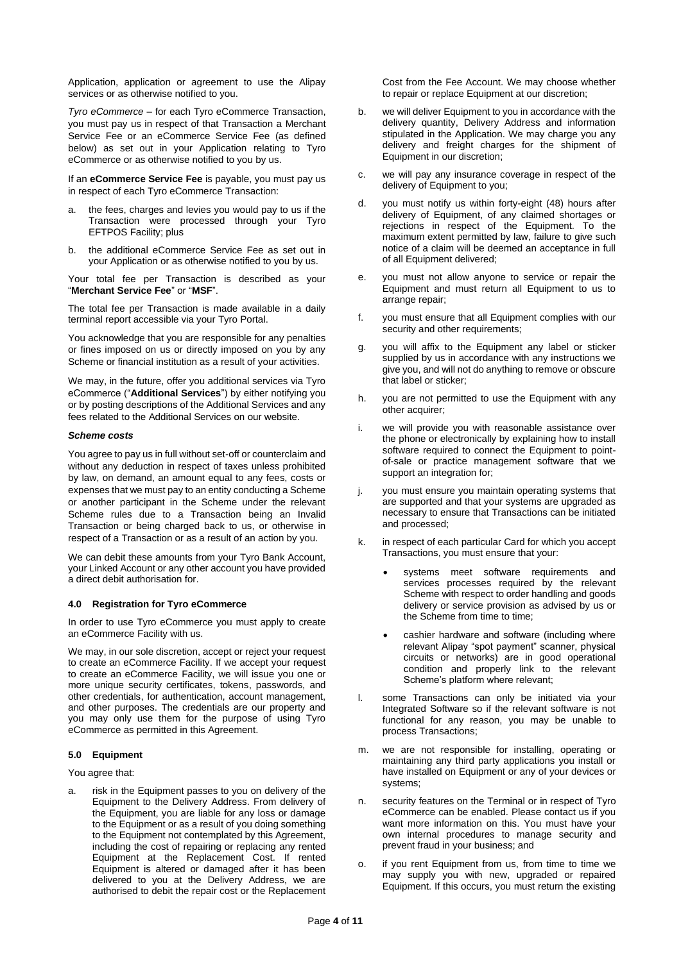Application, application or agreement to use the Alipay services or as otherwise notified to you.

*Tyro eCommerce* – for each Tyro eCommerce Transaction, you must pay us in respect of that Transaction a Merchant Service Fee or an eCommerce Service Fee (as defined below) as set out in your Application relating to Tyro eCommerce or as otherwise notified to you by us.

If an **eCommerce Service Fee** is payable, you must pay us in respect of each Tyro eCommerce Transaction:

- a. the fees, charges and levies you would pay to us if the Transaction were processed through your Tyro EFTPOS Facility; plus
- b. the additional eCommerce Service Fee as set out in your Application or as otherwise notified to you by us.

Your total fee per Transaction is described as your "**Merchant Service Fee**" or "**MSF**".

The total fee per Transaction is made available in a daily terminal report accessible via your Tyro Portal.

You acknowledge that you are responsible for any penalties or fines imposed on us or directly imposed on you by any Scheme or financial institution as a result of your activities.

We may, in the future, offer you additional services via Tyro eCommerce ("**Additional Services**") by either notifying you or by posting descriptions of the Additional Services and any fees related to the Additional Services on our website.

# *Scheme costs*

You agree to pay us in full without set-off or counterclaim and without any deduction in respect of taxes unless prohibited by law, on demand, an amount equal to any fees, costs or expenses that we must pay to an entity conducting a Scheme or another participant in the Scheme under the relevant Scheme rules due to a Transaction being an Invalid Transaction or being charged back to us, or otherwise in respect of a Transaction or as a result of an action by you.

We can debit these amounts from your Tyro Bank Account, your Linked Account or any other account you have provided a direct debit authorisation for.

#### **4.0 Registration for Tyro eCommerce**

In order to use Tyro eCommerce you must apply to create an eCommerce Facility with us.

We may, in our sole discretion, accept or reject your request to create an eCommerce Facility. If we accept your request to create an eCommerce Facility, we will issue you one or more unique security certificates, tokens, passwords, and other credentials, for authentication, account management, and other purposes. The credentials are our property and you may only use them for the purpose of using Tyro eCommerce as permitted in this Agreement.

#### **5.0 Equipment**

You agree that:

a. risk in the Equipment passes to you on delivery of the Equipment to the Delivery Address. From delivery of the Equipment, you are liable for any loss or damage to the Equipment or as a result of you doing something to the Equipment not contemplated by this Agreement, including the cost of repairing or replacing any rented Equipment at the Replacement Cost. If rented Equipment is altered or damaged after it has been delivered to you at the Delivery Address, we are authorised to debit the repair cost or the Replacement

Cost from the Fee Account. We may choose whether to repair or replace Equipment at our discretion;

- b. we will deliver Equipment to you in accordance with the delivery quantity, Delivery Address and information stipulated in the Application. We may charge you any delivery and freight charges for the shipment of Equipment in our discretion;
- c. we will pay any insurance coverage in respect of the delivery of Equipment to you;
- d. you must notify us within forty-eight (48) hours after delivery of Equipment, of any claimed shortages or rejections in respect of the Equipment. To the maximum extent permitted by law, failure to give such notice of a claim will be deemed an acceptance in full of all Equipment delivered;
- e. you must not allow anyone to service or repair the Equipment and must return all Equipment to us to arrange repair;
- f. you must ensure that all Equipment complies with our security and other requirements;
- g. you will affix to the Equipment any label or sticker supplied by us in accordance with any instructions we give you, and will not do anything to remove or obscure that label or sticker;
- h. you are not permitted to use the Equipment with any other acquirer;
- i. we will provide you with reasonable assistance over the phone or electronically by explaining how to install software required to connect the Equipment to pointof-sale or practice management software that we support an integration for;
- j. you must ensure you maintain operating systems that are supported and that your systems are upgraded as necessary to ensure that Transactions can be initiated and processed;
- k. in respect of each particular Card for which you accept Transactions, you must ensure that your:
	- systems meet software requirements and services processes required by the relevant Scheme with respect to order handling and goods delivery or service provision as advised by us or the Scheme from time to time;
	- cashier hardware and software (including where relevant Alipay "spot payment" scanner, physical circuits or networks) are in good operational condition and properly link to the relevant Scheme's platform where relevant;
- l. some Transactions can only be initiated via your Integrated Software so if the relevant software is not functional for any reason, you may be unable to process Transactions;
- m. we are not responsible for installing, operating or maintaining any third party applications you install or have installed on Equipment or any of your devices or systems;
- n. security features on the Terminal or in respect of Tyro eCommerce can be enabled. Please contact us if you want more information on this. You must have your own internal procedures to manage security and prevent fraud in your business; and
- o. if you rent Equipment from us, from time to time we may supply you with new, upgraded or repaired Equipment. If this occurs, you must return the existing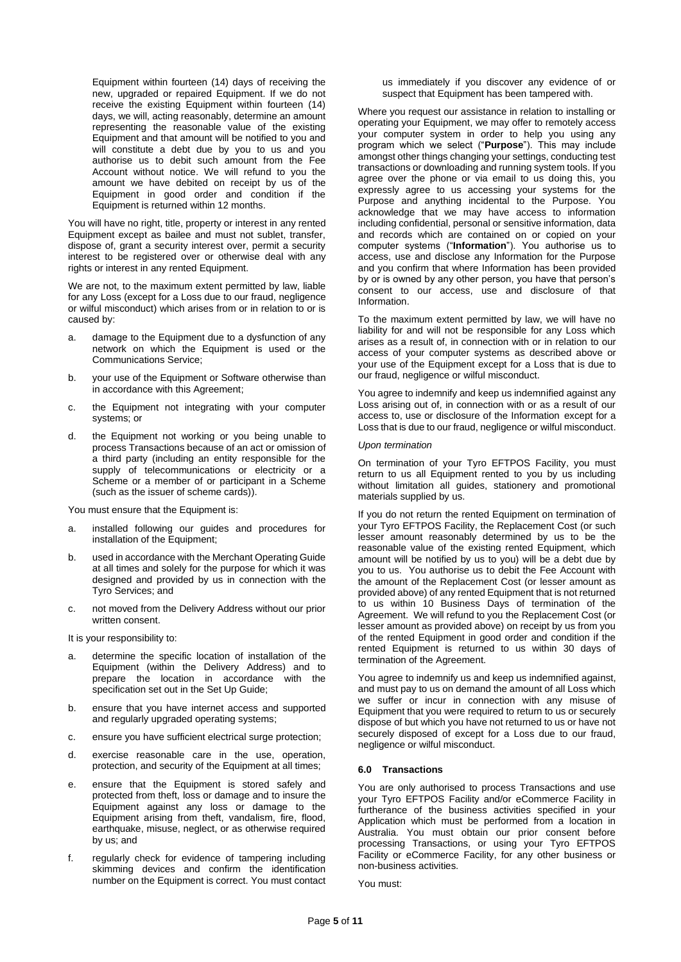Equipment within fourteen (14) days of receiving the new, upgraded or repaired Equipment. If we do not receive the existing Equipment within fourteen (14) days, we will, acting reasonably, determine an amount representing the reasonable value of the existing Equipment and that amount will be notified to you and will constitute a debt due by you to us and you authorise us to debit such amount from the Fee Account without notice. We will refund to you the amount we have debited on receipt by us of the Equipment in good order and condition if the Equipment is returned within 12 months.

You will have no right, title, property or interest in any rented Equipment except as bailee and must not sublet, transfer, dispose of, grant a security interest over, permit a security interest to be registered over or otherwise deal with any rights or interest in any rented Equipment.

We are not, to the maximum extent permitted by law, liable for any Loss (except for a Loss due to our fraud, negligence or wilful misconduct) which arises from or in relation to or is caused by:

- a. damage to the Equipment due to a dysfunction of any network on which the Equipment is used or the Communications Service;
- b. your use of the Equipment or Software otherwise than in accordance with this Agreement;
- c. the Equipment not integrating with your computer systems; or
- d. the Equipment not working or you being unable to process Transactions because of an act or omission of a third party (including an entity responsible for the supply of telecommunications or electricity or a Scheme or a member of or participant in a Scheme (such as the issuer of scheme cards)).

You must ensure that the Equipment is:

- a. installed following our guides and procedures for installation of the Equipment;
- b. used in accordance with the Merchant Operating Guide at all times and solely for the purpose for which it was designed and provided by us in connection with the Tyro Services; and
- c. not moved from the Delivery Address without our prior written consent.
- It is your responsibility to:
- a. determine the specific location of installation of the Equipment (within the Delivery Address) and to prepare the location in accordance with the specification set out in the Set Up Guide;
- b. ensure that you have internet access and supported and regularly upgraded operating systems;
- c. ensure you have sufficient electrical surge protection;
- d. exercise reasonable care in the use, operation, protection, and security of the Equipment at all times;
- e. ensure that the Equipment is stored safely and protected from theft, loss or damage and to insure the Equipment against any loss or damage to the Equipment arising from theft, vandalism, fire, flood, earthquake, misuse, neglect, or as otherwise required by us; and
- f. regularly check for evidence of tampering including skimming devices and confirm the identification number on the Equipment is correct. You must contact

us immediately if you discover any evidence of or suspect that Equipment has been tampered with.

Where you request our assistance in relation to installing or operating your Equipment, we may offer to remotely access your computer system in order to help you using any program which we select ("**Purpose**"). This may include amongst other things changing your settings, conducting test transactions or downloading and running system tools. If you agree over the phone or via email to us doing this, you expressly agree to us accessing your systems for the Purpose and anything incidental to the Purpose. You acknowledge that we may have access to information including confidential, personal or sensitive information, data and records which are contained on or copied on your computer systems ("**Information**"). You authorise us to access, use and disclose any Information for the Purpose and you confirm that where Information has been provided by or is owned by any other person, you have that person's consent to our access, use and disclosure of that Information.

To the maximum extent permitted by law, we will have no liability for and will not be responsible for any Loss which arises as a result of, in connection with or in relation to our access of your computer systems as described above or your use of the Equipment except for a Loss that is due to our fraud, negligence or wilful misconduct.

You agree to indemnify and keep us indemnified against any Loss arising out of, in connection with or as a result of our access to, use or disclosure of the Information except for a Loss that is due to our fraud, negligence or wilful misconduct.

#### *Upon termination*

On termination of your Tyro EFTPOS Facility, you must return to us all Equipment rented to you by us including without limitation all guides, stationery and promotional materials supplied by us.

If you do not return the rented Equipment on termination of your Tyro EFTPOS Facility, the Replacement Cost (or such lesser amount reasonably determined by us to be the reasonable value of the existing rented Equipment, which amount will be notified by us to you) will be a debt due by you to us. You authorise us to debit the Fee Account with the amount of the Replacement Cost (or lesser amount as provided above) of any rented Equipment that is not returned to us within 10 Business Days of termination of the Agreement. We will refund to you the Replacement Cost (or lesser amount as provided above) on receipt by us from you of the rented Equipment in good order and condition if the rented Equipment is returned to us within 30 days of termination of the Agreement.

You agree to indemnify us and keep us indemnified against, and must pay to us on demand the amount of all Loss which we suffer or incur in connection with any misuse of Equipment that you were required to return to us or securely dispose of but which you have not returned to us or have not securely disposed of except for a Loss due to our fraud, negligence or wilful misconduct.

#### **6.0 Transactions**

You are only authorised to process Transactions and use your Tyro EFTPOS Facility and/or eCommerce Facility in furtherance of the business activities specified in your Application which must be performed from a location in Australia. You must obtain our prior consent before processing Transactions, or using your Tyro EFTPOS Facility or eCommerce Facility, for any other business or non-business activities.

You must: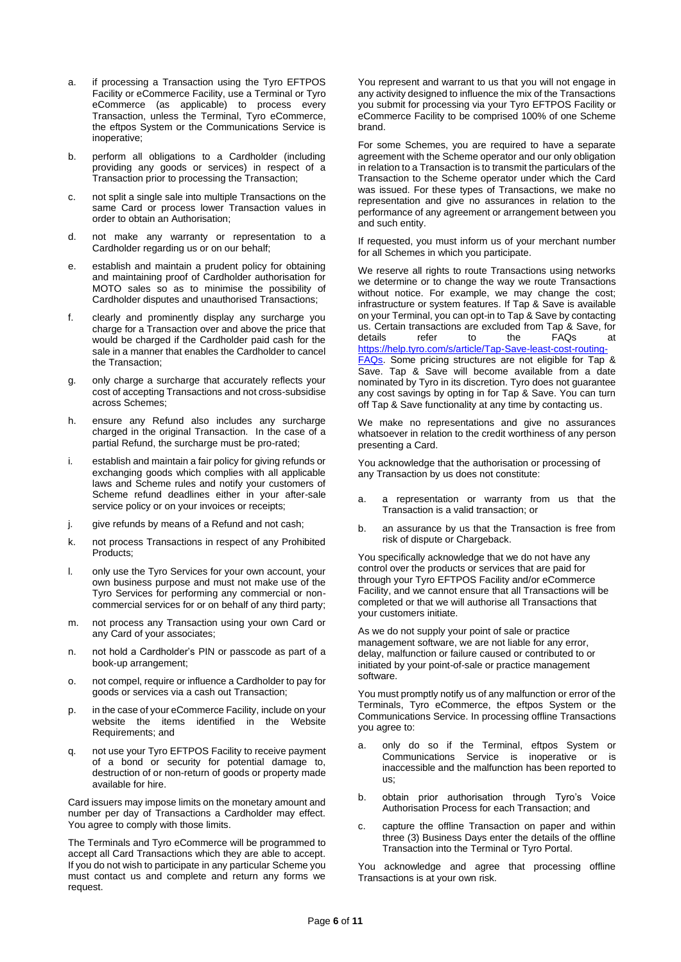- a. if processing a Transaction using the Tyro EFTPOS Facility or eCommerce Facility, use a Terminal or Tyro eCommerce (as applicable) to process every Transaction, unless the Terminal, Tyro eCommerce, the eftpos System or the Communications Service is inoperative;
- b. perform all obligations to a Cardholder (including providing any goods or services) in respect of a Transaction prior to processing the Transaction;
- c. not split a single sale into multiple Transactions on the same Card or process lower Transaction values in order to obtain an Authorisation;
- d. not make any warranty or representation to a Cardholder regarding us or on our behalf;
- e. establish and maintain a prudent policy for obtaining and maintaining proof of Cardholder authorisation for MOTO sales so as to minimise the possibility of Cardholder disputes and unauthorised Transactions;
- f. clearly and prominently display any surcharge you charge for a Transaction over and above the price that would be charged if the Cardholder paid cash for the sale in a manner that enables the Cardholder to cancel the Transaction;
- only charge a surcharge that accurately reflects your cost of accepting Transactions and not cross-subsidise across Schemes;
- h. ensure any Refund also includes any surcharge charged in the original Transaction. In the case of a partial Refund, the surcharge must be pro-rated;
- i. establish and maintain a fair policy for giving refunds or exchanging goods which complies with all applicable laws and Scheme rules and notify your customers of Scheme refund deadlines either in your after-sale service policy or on your invoices or receipts;
- j. give refunds by means of a Refund and not cash;
- k. not process Transactions in respect of any Prohibited Products;
- l. only use the Tyro Services for your own account, your own business purpose and must not make use of the Tyro Services for performing any commercial or noncommercial services for or on behalf of any third party;
- m. not process any Transaction using your own Card or any Card of your associates;
- n. not hold a Cardholder's PIN or passcode as part of a book-up arrangement;
- o. not compel, require or influence a Cardholder to pay for goods or services via a cash out Transaction;
- p. in the case of your eCommerce Facility, include on your website the items identified in the Website Requirements; and
- q. not use your Tyro EFTPOS Facility to receive payment of a bond or security for potential damage to, destruction of or non-return of goods or property made available for hire.

Card issuers may impose limits on the monetary amount and number per day of Transactions a Cardholder may effect. You agree to comply with those limits.

The Terminals and Tyro eCommerce will be programmed to accept all Card Transactions which they are able to accept. If you do not wish to participate in any particular Scheme you must contact us and complete and return any forms we request.

You represent and warrant to us that you will not engage in any activity designed to influence the mix of the Transactions you submit for processing via your Tyro EFTPOS Facility or eCommerce Facility to be comprised 100% of one Scheme brand.

For some Schemes, you are required to have a separate agreement with the Scheme operator and our only obligation in relation to a Transaction is to transmit the particulars of the Transaction to the Scheme operator under which the Card was issued. For these types of Transactions, we make no representation and give no assurances in relation to the performance of any agreement or arrangement between you and such entity.

If requested, you must inform us of your merchant number for all Schemes in which you participate.

We reserve all rights to route Transactions using networks we determine or to change the way we route Transactions without notice. For example, we may change the cost; infrastructure or system features. If Tap & Save is available on your Terminal, you can opt-in to Tap & Save by contacting us. Certain transactions are excluded from Tap & Save, for<br>details are referable to the FAOs at details refer to the FAQs at [https://help.tyro.com/s/article/Tap-Save-least-cost-routing-](https://help.tyro.com/s/article/Tap-Save-least-cost-routing-FAQs)[FAQs.](https://help.tyro.com/s/article/Tap-Save-least-cost-routing-FAQs) Some pricing structures are not eligible for Tap & Save. Tap & Save will become available from a date nominated by Tyro in its discretion. Tyro does not guarantee any cost savings by opting in for Tap & Save. You can turn off Tap & Save functionality at any time by contacting us.

We make no representations and give no assurances whatsoever in relation to the credit worthiness of any person presenting a Card.

You acknowledge that the authorisation or processing of any Transaction by us does not constitute:

- a. a representation or warranty from us that the Transaction is a valid transaction; or
- b. an assurance by us that the Transaction is free from risk of dispute or Chargeback.

You specifically acknowledge that we do not have any control over the products or services that are paid for through your Tyro EFTPOS Facility and/or eCommerce Facility, and we cannot ensure that all Transactions will be completed or that we will authorise all Transactions that your customers initiate.

As we do not supply your point of sale or practice management software, we are not liable for any error, delay, malfunction or failure caused or contributed to or initiated by your point-of-sale or practice management software.

You must promptly notify us of any malfunction or error of the Terminals, Tyro eCommerce, the eftpos System or the Communications Service. In processing offline Transactions you agree to:

- a. only do so if the Terminal, eftpos System or Communications Service is inoperative or inaccessible and the malfunction has been reported to us;
- b. obtain prior authorisation through Tyro's Voice Authorisation Process for each Transaction; and
- c. capture the offline Transaction on paper and within three (3) Business Days enter the details of the offline Transaction into the Terminal or Tyro Portal.

You acknowledge and agree that processing offline Transactions is at your own risk.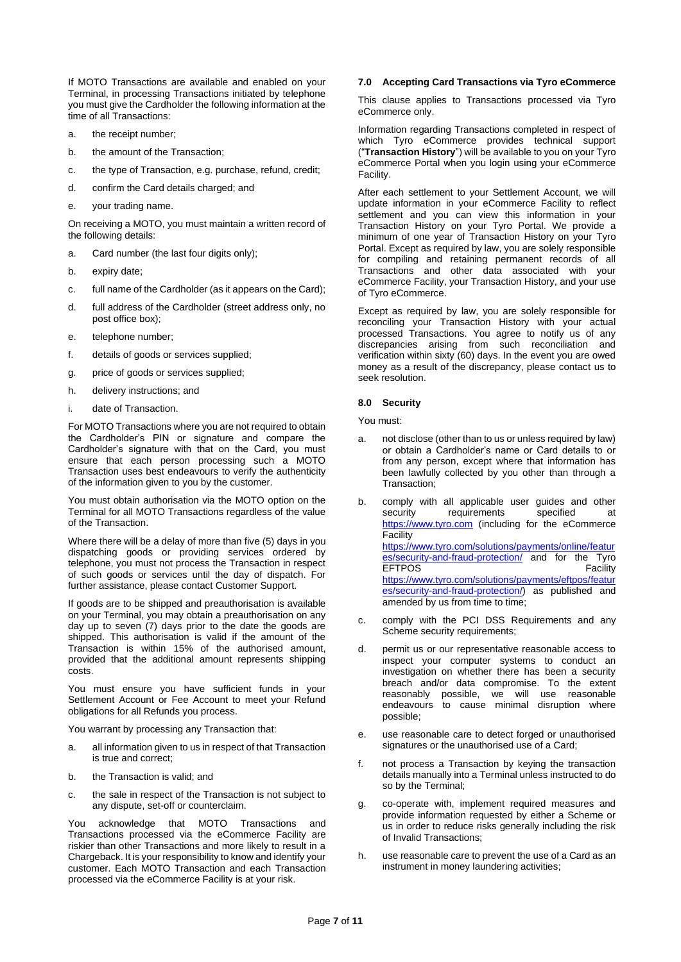If MOTO Transactions are available and enabled on your Terminal, in processing Transactions initiated by telephone you must give the Cardholder the following information at the time of all Transactions:

- a. the receipt number;
- b. the amount of the Transaction;
- c. the type of Transaction, e.g. purchase, refund, credit;
- d. confirm the Card details charged; and
- e. your trading name.

On receiving a MOTO, you must maintain a written record of the following details:

- a. Card number (the last four digits only);
- b. expiry date;
- c. full name of the Cardholder (as it appears on the Card);
- d. full address of the Cardholder (street address only, no post office box);
- e. telephone number;
- f. details of goods or services supplied;
- g. price of goods or services supplied;
- h. delivery instructions; and
- i. date of Transaction.

For MOTO Transactions where you are not required to obtain the Cardholder's PIN or signature and compare the Cardholder's signature with that on the Card, you must ensure that each person processing such a MOTO Transaction uses best endeavours to verify the authenticity of the information given to you by the customer.

You must obtain authorisation via the MOTO option on the Terminal for all MOTO Transactions regardless of the value of the Transaction.

Where there will be a delay of more than five (5) days in you dispatching goods or providing services ordered by telephone, you must not process the Transaction in respect of such goods or services until the day of dispatch. For further assistance, please contact Customer Support.

If goods are to be shipped and preauthorisation is available on your Terminal, you may obtain a preauthorisation on any day up to seven (7) days prior to the date the goods are shipped. This authorisation is valid if the amount of the Transaction is within 15% of the authorised amount, provided that the additional amount represents shipping costs.

You must ensure you have sufficient funds in your Settlement Account or Fee Account to meet your Refund obligations for all Refunds you process.

You warrant by processing any Transaction that:

- a. all information given to us in respect of that Transaction is true and correct;
- b. the Transaction is valid; and
- c. the sale in respect of the Transaction is not subject to any dispute, set-off or counterclaim.

You acknowledge that MOTO Transactions and Transactions processed via the eCommerce Facility are riskier than other Transactions and more likely to result in a Chargeback. It is your responsibility to know and identify your customer. Each MOTO Transaction and each Transaction processed via the eCommerce Facility is at your risk.

#### **7.0 Accepting Card Transactions via Tyro eCommerce**

This clause applies to Transactions processed via Tyro eCommerce only.

Information regarding Transactions completed in respect of which Tyro eCommerce provides technical support ("**Transaction History**") will be available to you on your Tyro eCommerce Portal when you login using your eCommerce Facility.

After each settlement to your Settlement Account, we will update information in your eCommerce Facility to reflect settlement and you can view this information in your Transaction History on your Tyro Portal. We provide a minimum of one year of Transaction History on your Tyro Portal. Except as required by law, you are solely responsible for compiling and retaining permanent records of all Transactions and other data associated with your eCommerce Facility, your Transaction History, and your use of Tyro eCommerce.

Except as required by law, you are solely responsible for reconciling your Transaction History with your actual processed Transactions. You agree to notify us of any discrepancies arising from such reconciliation and verification within sixty (60) days. In the event you are owed money as a result of the discrepancy, please contact us to seek resolution.

# **8.0 Security**

You must:

- not disclose (other than to us or unless required by law) or obtain a Cardholder's name or Card details to or from any person, except where that information has been lawfully collected by you other than through a Transaction;
- b. comply with all applicable user guides and other security requirements specified at [https://www.tyro.com](https://www.tyro.com/) (including for the eCommerce Facility [https://www.tyro.com/solutions/payments/online/featur](https://www.tyro.com/solutions/payments/online/features/security-and-fraud-protection/) [es/security-and-fraud-protection/](https://www.tyro.com/solutions/payments/online/features/security-and-fraud-protection/) and for the Tyro EFTPOS Facility [https://www.tyro.com/solutions/payments/eftpos/featur](https://www.tyro.com/solutions/payments/eftpos/features/security-and-fraud-protection/) [es/security-and-fraud-protection/\)](https://www.tyro.com/solutions/payments/eftpos/features/security-and-fraud-protection/) as published and amended by us from time to time;
- c. comply with the PCI DSS Requirements and any Scheme security requirements;
- d. permit us or our representative reasonable access to inspect your computer systems to conduct an investigation on whether there has been a security breach and/or data compromise. To the extent reasonably possible, we will use reasonable endeavours to cause minimal disruption where possible;
- e. use reasonable care to detect forged or unauthorised signatures or the unauthorised use of a Card;
- f. not process a Transaction by keying the transaction details manually into a Terminal unless instructed to do so by the Terminal;
- g. co-operate with, implement required measures and provide information requested by either a Scheme or us in order to reduce risks generally including the risk of Invalid Transactions;
- h. use reasonable care to prevent the use of a Card as an instrument in money laundering activities;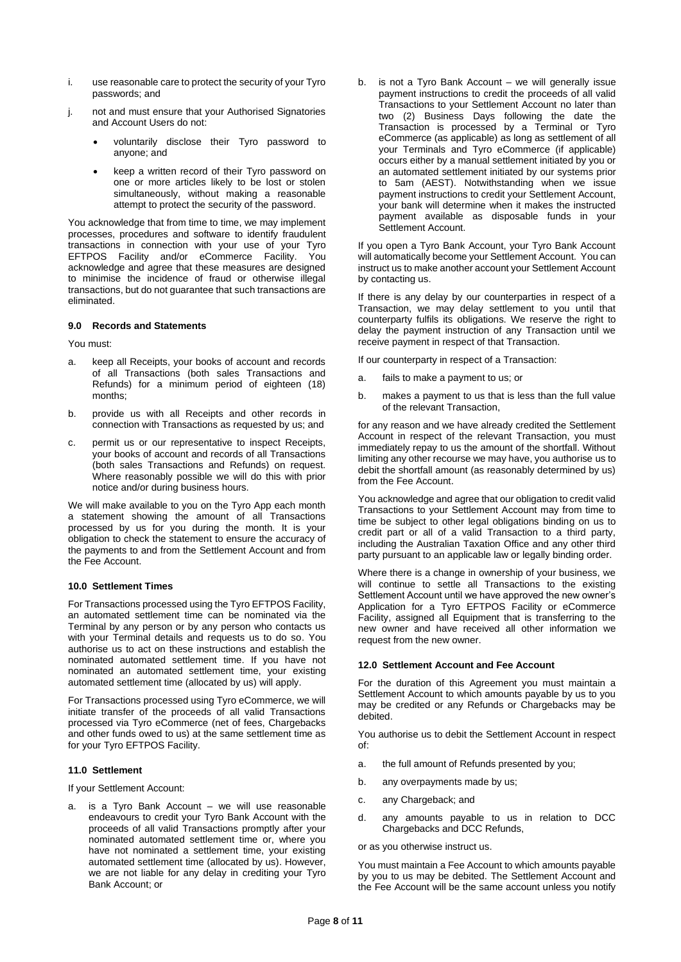- i. use reasonable care to protect the security of your Tyro passwords; and
- j. not and must ensure that your Authorised Signatories and Account Users do not:
	- voluntarily disclose their Tyro password to anyone; and
	- keep a written record of their Tyro password on one or more articles likely to be lost or stolen simultaneously, without making a reasonable attempt to protect the security of the password.

You acknowledge that from time to time, we may implement processes, procedures and software to identify fraudulent transactions in connection with your use of your Tyro EFTPOS Facility and/or eCommerce Facility. You acknowledge and agree that these measures are designed to minimise the incidence of fraud or otherwise illegal transactions, but do not guarantee that such transactions are eliminated.

# **9.0 Records and Statements**

You must:

- a. keep all Receipts, your books of account and records of all Transactions (both sales Transactions and Refunds) for a minimum period of eighteen (18) months;
- b. provide us with all Receipts and other records in connection with Transactions as requested by us; and
- c. permit us or our representative to inspect Receipts, your books of account and records of all Transactions (both sales Transactions and Refunds) on request. Where reasonably possible we will do this with prior notice and/or during business hours.

We will make available to you on the Tyro App each month a statement showing the amount of all Transactions processed by us for you during the month. It is your obligation to check the statement to ensure the accuracy of the payments to and from the Settlement Account and from the Fee Account.

# **10.0 Settlement Times**

For Transactions processed using the Tyro EFTPOS Facility, an automated settlement time can be nominated via the Terminal by any person or by any person who contacts us with your Terminal details and requests us to do so. You authorise us to act on these instructions and establish the nominated automated settlement time. If you have not nominated an automated settlement time, your existing automated settlement time (allocated by us) will apply.

For Transactions processed using Tyro eCommerce, we will initiate transfer of the proceeds of all valid Transactions processed via Tyro eCommerce (net of fees, Chargebacks and other funds owed to us) at the same settlement time as for your Tyro EFTPOS Facility.

# **11.0 Settlement**

If your Settlement Account:

is a Tyro Bank Account  $-$  we will use reasonable endeavours to credit your Tyro Bank Account with the proceeds of all valid Transactions promptly after your nominated automated settlement time or, where you have not nominated a settlement time, your existing automated settlement time (allocated by us). However, we are not liable for any delay in crediting your Tyro Bank Account; or

b. is not a Tyro Bank Account – we will generally issue payment instructions to credit the proceeds of all valid Transactions to your Settlement Account no later than two (2) Business Days following the date the Transaction is processed by a Terminal or Tyro eCommerce (as applicable) as long as settlement of all your Terminals and Tyro eCommerce (if applicable) occurs either by a manual settlement initiated by you or an automated settlement initiated by our systems prior to 5am (AEST). Notwithstanding when we issue payment instructions to credit your Settlement Account, your bank will determine when it makes the instructed payment available as disposable funds in your Settlement Account.

If you open a Tyro Bank Account, your Tyro Bank Account will automatically become your Settlement Account. You can instruct us to make another account your Settlement Account by contacting us.

If there is any delay by our counterparties in respect of a Transaction, we may delay settlement to you until that counterparty fulfils its obligations. We reserve the right to delay the payment instruction of any Transaction until we receive payment in respect of that Transaction.

If our counterparty in respect of a Transaction:

- a. fails to make a payment to us; or
- b. makes a payment to us that is less than the full value of the relevant Transaction,

for any reason and we have already credited the Settlement Account in respect of the relevant Transaction, you must immediately repay to us the amount of the shortfall. Without limiting any other recourse we may have, you authorise us to debit the shortfall amount (as reasonably determined by us) from the Fee Account.

You acknowledge and agree that our obligation to credit valid Transactions to your Settlement Account may from time to time be subject to other legal obligations binding on us to credit part or all of a valid Transaction to a third party, including the Australian Taxation Office and any other third party pursuant to an applicable law or legally binding order.

Where there is a change in ownership of your business, we will continue to settle all Transactions to the existing Settlement Account until we have approved the new owner's Application for a Tyro EFTPOS Facility or eCommerce Facility, assigned all Equipment that is transferring to the new owner and have received all other information we request from the new owner.

#### **12.0 Settlement Account and Fee Account**

For the duration of this Agreement you must maintain a Settlement Account to which amounts payable by us to you may be credited or any Refunds or Chargebacks may be debited.

You authorise us to debit the Settlement Account in respect of:

- a. the full amount of Refunds presented by you;
- b. any overpayments made by us;
- c. any Chargeback; and
- d. any amounts payable to us in relation to DCC Chargebacks and DCC Refunds,

or as you otherwise instruct us.

You must maintain a Fee Account to which amounts payable by you to us may be debited. The Settlement Account and the Fee Account will be the same account unless you notify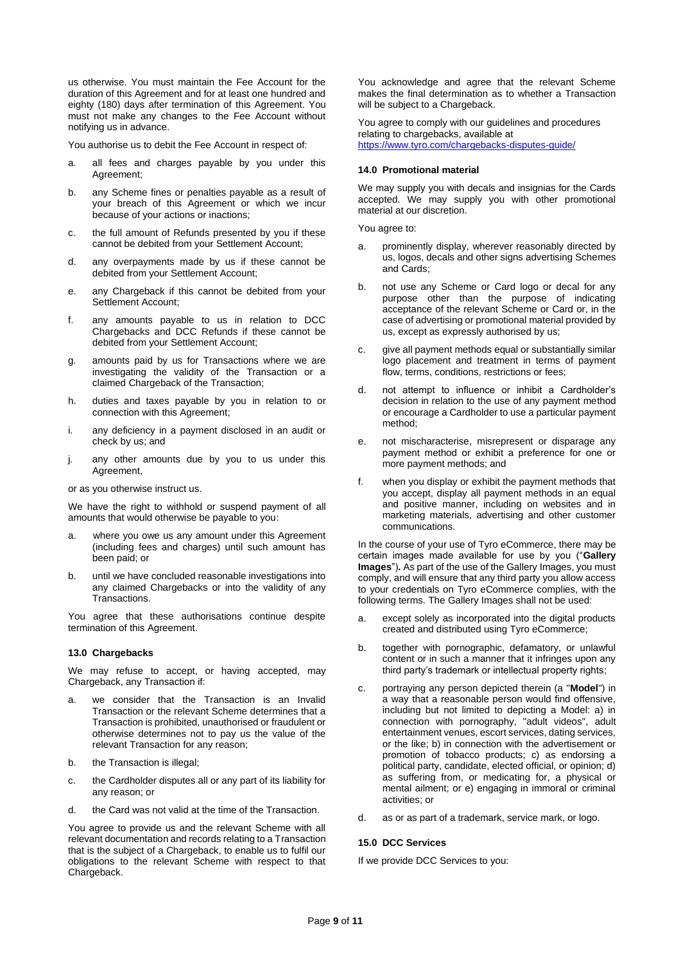us otherwise. You must maintain the Fee Account for the duration of this Agreement and for at least one hundred and eighty (180) days after termination of this Agreement. You must not make any changes to the Fee Account without notifying us in advance.

You authorise us to debit the Fee Account in respect of:

- a. all fees and charges payable by you under this Agreement;
- b. any Scheme fines or penalties payable as a result of your breach of this Agreement or which we incur because of your actions or inactions;
- c. the full amount of Refunds presented by you if these cannot be debited from your Settlement Account;
- d. any overpayments made by us if these cannot be debited from your Settlement Account;
- e. any Chargeback if this cannot be debited from your Settlement Account;
- f. any amounts payable to us in relation to DCC Chargebacks and DCC Refunds if these cannot be debited from your Settlement Account;
- g. amounts paid by us for Transactions where we are investigating the validity of the Transaction or a claimed Chargeback of the Transaction;
- h. duties and taxes payable by you in relation to or connection with this Agreement;
- i. any deficiency in a payment disclosed in an audit or check by us; and
- j. any other amounts due by you to us under this Agreement,

or as you otherwise instruct us.

We have the right to withhold or suspend payment of all amounts that would otherwise be payable to you:

- a. where you owe us any amount under this Agreement (including fees and charges) until such amount has been paid; or
- b. until we have concluded reasonable investigations into any claimed Chargebacks or into the validity of any Transactions.

You agree that these authorisations continue despite termination of this Agreement.

#### **13.0 Chargebacks**

We may refuse to accept, or having accepted, may Chargeback, any Transaction if:

- a. we consider that the Transaction is an Invalid Transaction or the relevant Scheme determines that a Transaction is prohibited, unauthorised or fraudulent or otherwise determines not to pay us the value of the relevant Transaction for any reason;
- b. the Transaction is illegal;
- c. the Cardholder disputes all or any part of its liability for any reason; or
- d. the Card was not valid at the time of the Transaction.

You agree to provide us and the relevant Scheme with all relevant documentation and records relating to a Transaction that is the subject of a Chargeback, to enable us to fulfil our obligations to the relevant Scheme with respect to that Chargeback.

You acknowledge and agree that the relevant Scheme makes the final determination as to whether a Transaction will be subject to a Chargeback.

You agree to comply with our guidelines and procedures relating to chargebacks, available at <https://www.tyro.com/chargebacks-disputes-guide/>

#### **14.0 Promotional material**

We may supply you with decals and insignias for the Cards accepted. We may supply you with other promotional material at our discretion.

You agree to:

- a. prominently display, wherever reasonably directed by us, logos, decals and other signs advertising Schemes and Cards;
- b. not use any Scheme or Card logo or decal for any purpose other than the purpose of indicating acceptance of the relevant Scheme or Card or, in the case of advertising or promotional material provided by us, except as expressly authorised by us;
- c. give all payment methods equal or substantially similar logo placement and treatment in terms of payment flow, terms, conditions, restrictions or fees;
- d. not attempt to influence or inhibit a Cardholder's decision in relation to the use of any payment method or encourage a Cardholder to use a particular payment method;
- e. not mischaracterise, misrepresent or disparage any payment method or exhibit a preference for one or more payment methods; and
- f. when you display or exhibit the payment methods that you accept, display all payment methods in an equal and positive manner, including on websites and in marketing materials, advertising and other customer communications.

In the course of your use of Tyro eCommerce, there may be certain images made available for use by you ("**Gallery Images**")**.** As part of the use of the Gallery Images, you must comply, and will ensure that any third party you allow access to your credentials on Tyro eCommerce complies, with the following terms. The Gallery Images shall not be used:

- a. except solely as incorporated into the digital products created and distributed using Tyro eCommerce;
- b. together with pornographic, defamatory, or unlawful content or in such a manner that it infringes upon any third party's trademark or intellectual property rights;
- c. portraying any person depicted therein (a "**Model**") in a way that a reasonable person would find offensive, including but not limited to depicting a Model: a) in connection with pornography, "adult videos", adult entertainment venues, escort services, dating services, or the like; b) in connection with the advertisement or promotion of tobacco products; c) as endorsing a political party, candidate, elected official, or opinion; d) as suffering from, or medicating for, a physical or mental ailment; or e) engaging in immoral or criminal activities; or
- d. as or as part of a trademark, service mark, or logo.

# <span id="page-8-0"></span>**15.0 DCC Services**

If we provide DCC Services to you: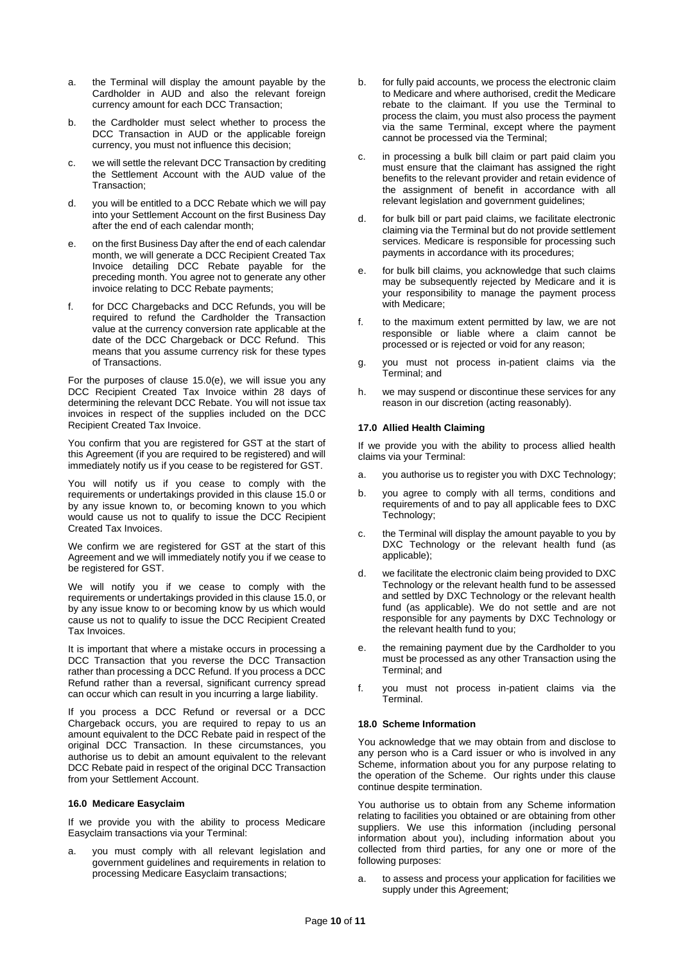- a. the Terminal will display the amount payable by the Cardholder in AUD and also the relevant foreign currency amount for each DCC Transaction;
- b. the Cardholder must select whether to process the DCC Transaction in AUD or the applicable foreign currency, you must not influence this decision;
- c. we will settle the relevant DCC Transaction by crediting the Settlement Account with the AUD value of the Transaction;
- d. you will be entitled to a DCC Rebate which we will pay into your Settlement Account on the first Business Day after the end of each calendar month;
- e. on the first Business Day after the end of each calendar month, we will generate a DCC Recipient Created Tax Invoice detailing DCC Rebate payable for the preceding month. You agree not to generate any other invoice relating to DCC Rebate payments;
- f. for DCC Chargebacks and DCC Refunds, you will be required to refund the Cardholder the Transaction value at the currency conversion rate applicable at the date of the DCC Chargeback or DCC Refund. This means that you assume currency risk for these types of Transactions.

For the purposes of clause [15.0\(](#page-8-0)e), we will issue you any DCC Recipient Created Tax Invoice within 28 days of determining the relevant DCC Rebate. You will not issue tax invoices in respect of the supplies included on the DCC Recipient Created Tax Invoice.

You confirm that you are registered for GST at the start of this Agreement (if you are required to be registered) and will immediately notify us if you cease to be registered for GST.

You will notify us if you cease to comply with the requirements or undertakings provided in this clause [15.0](#page-8-0) or by any issue known to, or becoming known to you which would cause us not to qualify to issue the DCC Recipient Created Tax Invoices.

We confirm we are registered for GST at the start of this Agreement and we will immediately notify you if we cease to be registered for GST.

We will notify you if we cease to comply with the requirements or undertakings provided in this clause [15.0,](#page-8-0) or by any issue know to or becoming know by us which would cause us not to qualify to issue the DCC Recipient Created Tax Invoices.

It is important that where a mistake occurs in processing a DCC Transaction that you reverse the DCC Transaction rather than processing a DCC Refund. If you process a DCC Refund rather than a reversal, significant currency spread can occur which can result in you incurring a large liability.

If you process a DCC Refund or reversal or a DCC Chargeback occurs, you are required to repay to us an amount equivalent to the DCC Rebate paid in respect of the original DCC Transaction. In these circumstances, you authorise us to debit an amount equivalent to the relevant DCC Rebate paid in respect of the original DCC Transaction from your Settlement Account.

#### **16.0 Medicare Easyclaim**

If we provide you with the ability to process Medicare Easyclaim transactions via your Terminal:

a. you must comply with all relevant legislation and government guidelines and requirements in relation to processing Medicare Easyclaim transactions;

- b. for fully paid accounts, we process the electronic claim to Medicare and where authorised, credit the Medicare rebate to the claimant. If you use the Terminal to process the claim, you must also process the payment via the same Terminal, except where the payment cannot be processed via the Terminal;
- c. in processing a bulk bill claim or part paid claim you must ensure that the claimant has assigned the right benefits to the relevant provider and retain evidence of the assignment of benefit in accordance with all relevant legislation and government guidelines;
- d. for bulk bill or part paid claims, we facilitate electronic claiming via the Terminal but do not provide settlement services. Medicare is responsible for processing such payments in accordance with its procedures;
- e. for bulk bill claims, you acknowledge that such claims may be subsequently rejected by Medicare and it is your responsibility to manage the payment process with Medicare;
- f. to the maximum extent permitted by law, we are not responsible or liable where a claim cannot be processed or is rejected or void for any reason;
- g. you must not process in-patient claims via the Terminal; and
- h. we may suspend or discontinue these services for any reason in our discretion (acting reasonably).

# **17.0 Allied Health Claiming**

If we provide you with the ability to process allied health claims via your Terminal:

- a. you authorise us to register you with DXC Technology;
- b. you agree to comply with all terms, conditions and requirements of and to pay all applicable fees to DXC Technology;
- c. the Terminal will display the amount payable to you by DXC Technology or the relevant health fund (as applicable);
- d. we facilitate the electronic claim being provided to DXC Technology or the relevant health fund to be assessed and settled by DXC Technology or the relevant health fund (as applicable). We do not settle and are not responsible for any payments by DXC Technology or the relevant health fund to you;
- e. the remaining payment due by the Cardholder to you must be processed as any other Transaction using the Terminal; and
- f. you must not process in-patient claims via the **Terminal**

#### **18.0 Scheme Information**

You acknowledge that we may obtain from and disclose to any person who is a Card issuer or who is involved in any Scheme, information about you for any purpose relating to the operation of the Scheme. Our rights under this clause continue despite termination.

You authorise us to obtain from any Scheme information relating to facilities you obtained or are obtaining from other suppliers. We use this information (including personal information about you), including information about you collected from third parties, for any one or more of the following purposes:

a. to assess and process your application for facilities we supply under this Agreement;